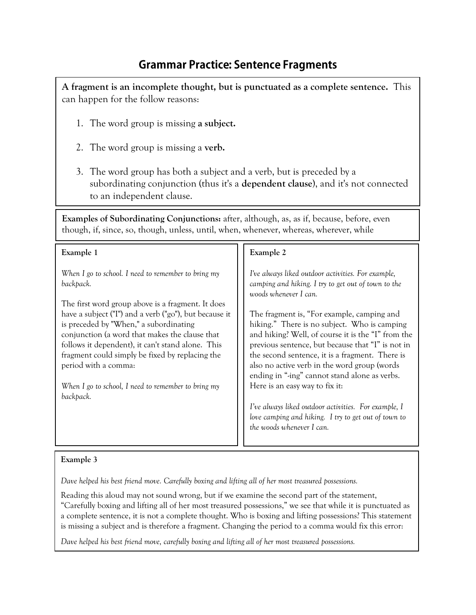## **Grammar Practice: Sentence Fragments**

**A fragment is an incomplete thought, but is punctuated as a complete sentence.** This can happen for the follow reasons:

- 1. The word group is missing **a subject.**
- 2. The word group is missing a **verb.**
- 3. The word group has both a subject and a verb, but is preceded by a subordinating conjunction (thus it's a **dependent clause**), and it's not connected to an independent clause.

**Examples of Subordinating Conjunctions:** after, although, as, as if, because, before, even though, if, since, so, though, unless, until, when, whenever, whereas, wherever, while

| Example 1                                                                                                                                                                                                                                                                                                       | Example 2                                                                                                                                                                                                                                                |
|-----------------------------------------------------------------------------------------------------------------------------------------------------------------------------------------------------------------------------------------------------------------------------------------------------------------|----------------------------------------------------------------------------------------------------------------------------------------------------------------------------------------------------------------------------------------------------------|
| When I go to school. I need to remember to bring my<br>backpack.                                                                                                                                                                                                                                                | I've always liked outdoor activities. For example,<br>camping and hiking. I try to get out of town to the<br>woods whenever I can.                                                                                                                       |
| The first word group above is a fragment. It does<br>have a subject ("I") and a verb ("go"), but because it<br>is preceded by "When," a subordinating<br>conjunction (a word that makes the clause that<br>follows it dependent), it can't stand alone. This<br>fragment could simply be fixed by replacing the | The fragment is, "For example, camping and<br>hiking." There is no subject. Who is camping<br>and hiking? Well, of course it is the "I" from the<br>previous sentence, but because that "I" is not in<br>the second sentence, it is a fragment. There is |
| period with a comma:                                                                                                                                                                                                                                                                                            | also no active verb in the word group (words<br>ending in "-ing" cannot stand alone as verbs.                                                                                                                                                            |
| When I go to school, I need to remember to bring my<br>backpack.                                                                                                                                                                                                                                                | Here is an easy way to fix it:                                                                                                                                                                                                                           |
|                                                                                                                                                                                                                                                                                                                 | I've always liked outdoor activities. For example, I<br>love camping and hiking. I try to get out of town to<br>the woods whenever I can.                                                                                                                |

## **Example 3**

*Dave helped his best friend move. Carefully boxing and lifting all of her most treasured possessions.*

Reading this aloud may not sound wrong, but if we examine the second part of the statement, "Carefully boxing and lifting all of her most treasured possessions," we see that while it is punctuated as a complete sentence, it is not a complete thought. Who is boxing and lifting possessions? This statement is missing a subject and is therefore a fragment. Changing the period to a comma would fix this error:

*Dave helped his best friend move, carefully boxing and lifting all of her most treasured possessions.*